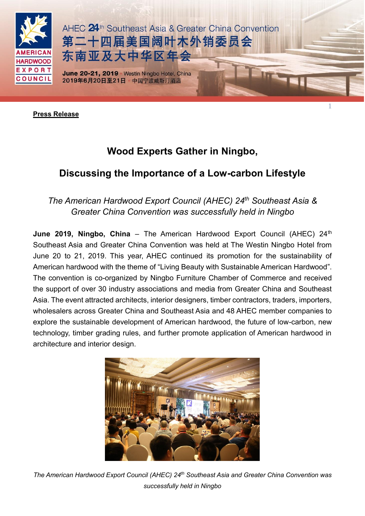

**Press Release**

## **Wood Experts Gather in Ningbo,**

## **Discussing the Importance of a Low-carbon Lifestyle**

## *The American Hardwood Export Council (AHEC) 24th Southeast Asia & Greater China Convention was successfully held in Ningbo*

**June 2019, Ningbo, China** – The American Hardwood Export Council (AHEC) 24<sup>th</sup> Southeast Asia and Greater China Convention was held at The Westin Ningbo Hotel from June 20 to 21, 2019. This year, AHEC continued its promotion for the sustainability of American hardwood with the theme of "Living Beauty with Sustainable American Hardwood". The convention is co-organized by Ningbo Furniture Chamber of Commerce and received the support of over 30 industry associations and media from Greater China and Southeast Asia. The event attracted architects, interior designers, timber contractors, traders, importers, wholesalers across Greater China and Southeast Asia and 48 AHEC member companies to explore the sustainable development of American hardwood, the future of low-carbon, new technology, timber grading rules, and further promote application of American hardwood in architecture and interior design.



*The American Hardwood Export Council (AHEC) 24 th Southeast Asia and Greater China Convention was successfully held in Ningbo*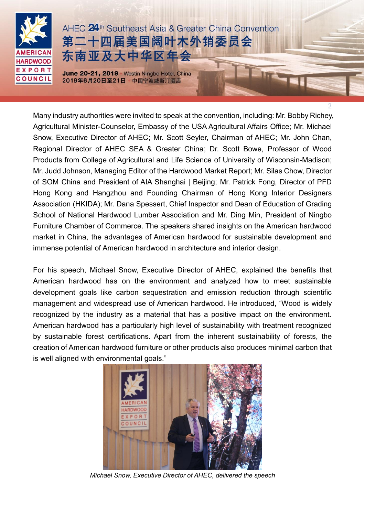

 $\mathcal{L}$ 

Many industry authorities were invited to speak at the convention, including: Mr. Bobby Richey, Agricultural Minister-Counselor, Embassy of the USA Agricultural Affairs Office; Mr. Michael Snow, Executive Director of AHEC; Mr. Scott Seyler, Chairman of AHEC; Mr. John Chan, Regional Director of AHEC SEA & Greater China; Dr. Scott Bowe, Professor of Wood Products from College of Agricultural and Life Science of University of Wisconsin-Madison; Mr. Judd Johnson, Managing Editor of the Hardwood Market Report; Mr. Silas Chow, Director of SOM China and President of AIA Shanghai | Beijing; Mr. Patrick Fong, Director of PFD Hong Kong and Hangzhou and Founding Chairman of Hong Kong Interior Designers Association (HKIDA); Mr. Dana Spessert, Chief Inspector and Dean of Education of Grading School of National Hardwood Lumber Association and Mr. Ding Min, President of Ningbo Furniture Chamber of Commerce. The speakers shared insights on the American hardwood market in China, the advantages of American hardwood for sustainable development and immense potential of American hardwood in architecture and interior design.

For his speech, Michael Snow, Executive Director of AHEC, explained the benefits that American hardwood has on the environment and analyzed how to meet sustainable development goals like carbon sequestration and emission reduction through scientific management and widespread use of American hardwood. He introduced, "Wood is widely recognized by the industry as a material that has a positive impact on the environment. American hardwood has a particularly high level of sustainability with treatment recognized by sustainable forest certifications. Apart from the inherent sustainability of forests, the creation of American hardwood furniture or other products also produces minimal carbon that is well aligned with environmental goals."



*Michael Snow, Executive Director of AHEC, delivered the speech*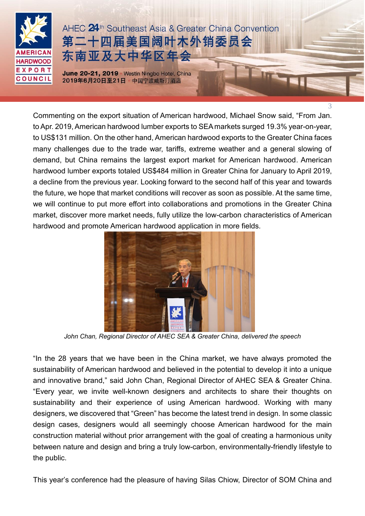

3

Commenting on the export situation of American hardwood, Michael Snow said, "From Jan. to Apr. 2019, American hardwood lumber exports to SEA markets surged 19.3% year-on-year, to US\$131 million. On the other hand, American hardwood exports to the Greater China faces many challenges due to the trade war, tariffs, extreme weather and a general slowing of demand, but China remains the largest export market for American hardwood. American hardwood lumber exports totaled US\$484 million in Greater China for January to April 2019, a decline from the previous year. Looking forward to the second half of this year and towards the future, we hope that market conditions will recover as soon as possible. At the same time, we will continue to put more effort into collaborations and promotions in the Greater China market, discover more market needs, fully utilize the low-carbon characteristics of American hardwood and promote American hardwood application in more fields.



*John Chan, Regional Director of AHEC SEA & Greater China, delivered the speech*

"In the 28 years that we have been in the China market, we have always promoted the sustainability of American hardwood and believed in the potential to develop it into a unique and innovative brand," said John Chan, Regional Director of AHEC SEA & Greater China. "Every year, we invite well-known designers and architects to share their thoughts on sustainability and their experience of using American hardwood. Working with many designers, we discovered that "Green" has become the latest trend in design. In some classic design cases, designers would all seemingly choose American hardwood for the main construction material without prior arrangement with the goal of creating a harmonious unity between nature and design and bring a truly low-carbon, environmentally-friendly lifestyle to the public.

This year's conference had the pleasure of having Silas Chiow, Director of SOM China and